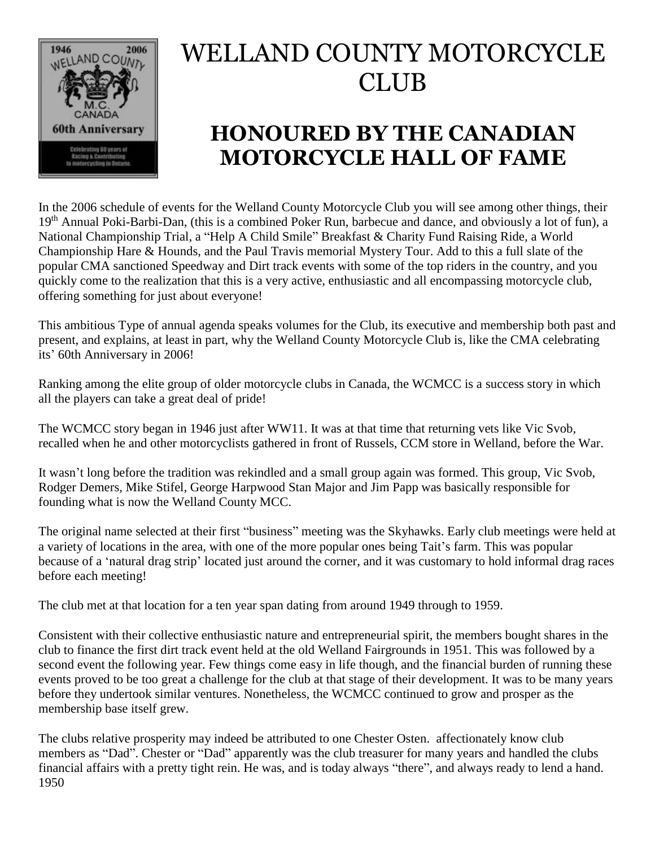

## WELLAND COUNTY MOTORCYCLE CLUB

## **HONOURED BY THE CANADIAN MOTORCYCLE HALL OF FAME**

In the 2006 schedule of events for the Welland County Motorcycle Club you will see among other things, their 19<sup>th</sup> Annual Poki-Barbi-Dan, (this is a combined Poker Run, barbecue and dance, and obviously a lot of fun), a National Championship Trial, a "Help A Child Smile" Breakfast & Charity Fund Raising Ride, a World Championship Hare & Hounds, and the Paul Travis memorial Mystery Tour. Add to this a full slate of the popular CMA sanctioned Speedway and Dirt track events with some of the top riders in the country, and you quickly come to the realization that this is a very active, enthusiastic and all encompassing motorcycle club, offering something for just about everyone!

This ambitious Type of annual agenda speaks volumes for the Club, its executive and membership both past and present, and explains, at least in part, why the Welland County Motorcycle Club is, like the CMA celebrating its' 60th Anniversary in 2006!

Ranking among the elite group of older motorcycle clubs in Canada, the WCMCC is a success story in which all the players can take a great deal of pride!

The WCMCC story began in 1946 just after WW11. It was at that time that returning vets like Vic Svob, recalled when he and other motorcyclists gathered in front of Russels, CCM store in Welland, before the War.

It wasn't long before the tradition was rekindled and a small group again was formed. This group, Vic Svob, Rodger Demers, Mike Stifel, George Harpwood Stan Major and Jim Papp was basically responsible for founding what is now the Welland County MCC.

The original name selected at their first "business" meeting was the Skyhawks. Early club meetings were held at a variety of locations in the area, with one of the more popular ones being Tait's farm. This was popular because of a 'natural drag strip' located just around the corner, and it was customary to hold informal drag races before each meeting!

The club met at that location for a ten year span dating from around 1949 through to 1959.

Consistent with their collective enthusiastic nature and entrepreneurial spirit, the members bought shares in the club to finance the first dirt track event held at the old Welland Fairgrounds in 1951. This was followed by a second event the following year. Few things come easy in life though, and the financial burden of running these events proved to be too great a challenge for the club at that stage of their development. It was to be many years before they undertook similar ventures. Nonetheless, the WCMCC continued to grow and prosper as the membership base itself grew.

The clubs relative prosperity may indeed be attributed to one Chester Osten. affectionately know club members as "Dad". Chester or "Dad" apparently was the club treasurer for many years and handled the clubs financial affairs with a pretty tight rein. He was, and is today always "there", and always ready to lend a hand. 1950